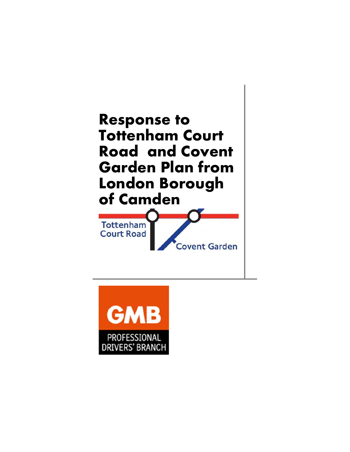

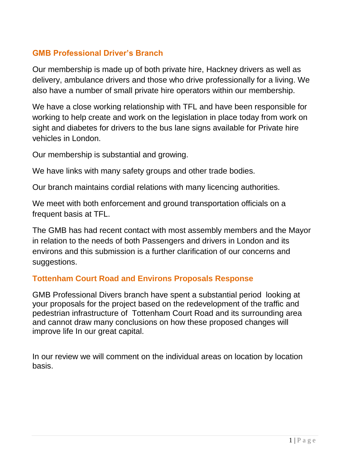# **GMB Professional Driver's Branch**

Our membership is made up of both private hire, Hackney drivers as well as delivery, ambulance drivers and those who drive professionally for a living. We also have a number of small private hire operators within our membership.

We have a close working relationship with TFL and have been responsible for working to help create and work on the legislation in place today from work on sight and diabetes for drivers to the bus lane signs available for Private hire vehicles in London.

Our membership is substantial and growing.

We have links with many safety groups and other trade bodies.

Our branch maintains cordial relations with many licencing authorities.

We meet with both enforcement and ground transportation officials on a frequent basis at TFL.

The GMB has had recent contact with most assembly members and the Mayor in relation to the needs of both Passengers and drivers in London and its environs and this submission is a further clarification of our concerns and suggestions.

### **Tottenham Court Road and Environs Proposals Response**

GMB Professional Divers branch have spent a substantial period looking at your proposals for the project based on the redevelopment of the traffic and pedestrian infrastructure of Tottenham Court Road and its surrounding area and cannot draw many conclusions on how these proposed changes will improve life In our great capital.

In our review we will comment on the individual areas on location by location basis.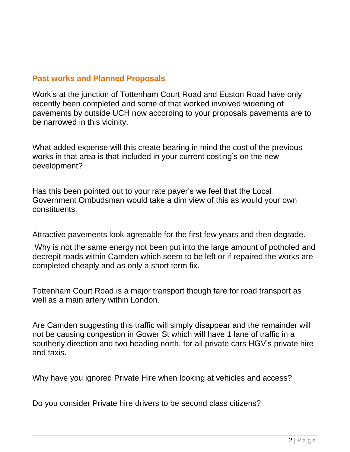# **Past works and Planned Proposals**

Work's at the junction of Tottenham Court Road and Euston Road have only recently been completed and some of that worked involved widening of pavements by outside UCH now according to your proposals pavements are to be narrowed in this vicinity.

What added expense will this create bearing in mind the cost of the previous works in that area is that included in your current costing's on the new development?

Has this been pointed out to your rate payer's we feel that the Local Government Ombudsman would take a dim view of this as would your own constituents.

Attractive pavements look agreeable for the first few years and then degrade.

Why is not the same energy not been put into the large amount of potholed and decrepit roads within Camden which seem to be left or if repaired the works are completed cheaply and as only a short term fix.

Tottenham Court Road is a major transport though fare for road transport as well as a main artery within London.

Are Camden suggesting this traffic will simply disappear and the remainder will not be causing congestion in Gower St which will have 1 lane of traffic in a southerly direction and two heading north, for all private cars HGV's private hire and taxis.

Why have you ignored Private Hire when looking at vehicles and access?

Do you consider Private hire drivers to be second class citizens?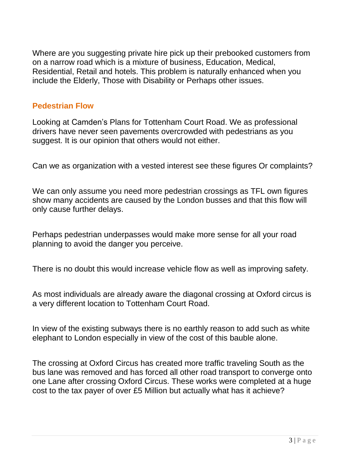Where are you suggesting private hire pick up their prebooked customers from on a narrow road which is a mixture of business, Education, Medical, Residential, Retail and hotels. This problem is naturally enhanced when you include the Elderly, Those with Disability or Perhaps other issues.

#### **Pedestrian Flow**

Looking at Camden's Plans for Tottenham Court Road. We as professional drivers have never seen pavements overcrowded with pedestrians as you suggest. It is our opinion that others would not either.

Can we as organization with a vested interest see these figures Or complaints?

We can only assume you need more pedestrian crossings as TFL own figures show many accidents are caused by the London busses and that this flow will only cause further delays.

Perhaps pedestrian underpasses would make more sense for all your road planning to avoid the danger you perceive.

There is no doubt this would increase vehicle flow as well as improving safety.

As most individuals are already aware the diagonal crossing at Oxford circus is a very different location to Tottenham Court Road.

In view of the existing subways there is no earthly reason to add such as white elephant to London especially in view of the cost of this bauble alone.

The crossing at Oxford Circus has created more traffic traveling South as the bus lane was removed and has forced all other road transport to converge onto one Lane after crossing Oxford Circus. These works were completed at a huge cost to the tax payer of over £5 Million but actually what has it achieve?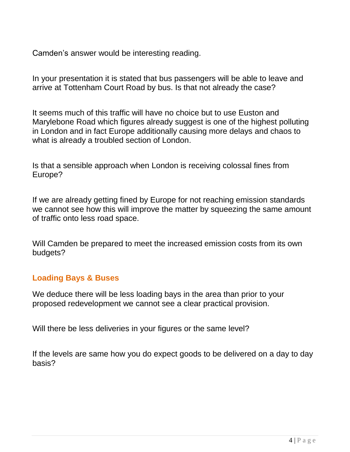Camden's answer would be interesting reading.

In your presentation it is stated that bus passengers will be able to leave and arrive at Tottenham Court Road by bus. Is that not already the case?

It seems much of this traffic will have no choice but to use Euston and Marylebone Road which figures already suggest is one of the highest polluting in London and in fact Europe additionally causing more delays and chaos to what is already a troubled section of London.

Is that a sensible approach when London is receiving colossal fines from Europe?

If we are already getting fined by Europe for not reaching emission standards we cannot see how this will improve the matter by squeezing the same amount of traffic onto less road space.

Will Camden be prepared to meet the increased emission costs from its own budgets?

## **Loading Bays & Buses**

We deduce there will be less loading bays in the area than prior to your proposed redevelopment we cannot see a clear practical provision.

Will there be less deliveries in your figures or the same level?

If the levels are same how you do expect goods to be delivered on a day to day basis?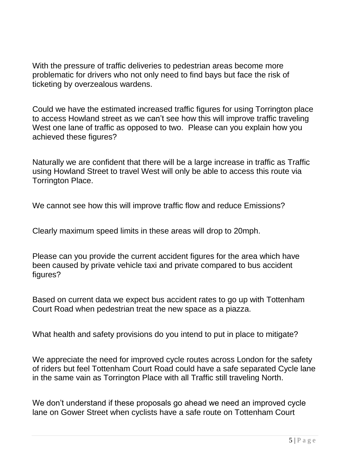With the pressure of traffic deliveries to pedestrian areas become more problematic for drivers who not only need to find bays but face the risk of ticketing by overzealous wardens.

Could we have the estimated increased traffic figures for using Torrington place to access Howland street as we can't see how this will improve traffic traveling West one lane of traffic as opposed to two. Please can you explain how you achieved these figures?

Naturally we are confident that there will be a large increase in traffic as Traffic using Howland Street to travel West will only be able to access this route via Torrington Place.

We cannot see how this will improve traffic flow and reduce Emissions?

Clearly maximum speed limits in these areas will drop to 20mph.

Please can you provide the current accident figures for the area which have been caused by private vehicle taxi and private compared to bus accident figures?

Based on current data we expect bus accident rates to go up with Tottenham Court Road when pedestrian treat the new space as a piazza.

What health and safety provisions do you intend to put in place to mitigate?

We appreciate the need for improved cycle routes across London for the safety of riders but feel Tottenham Court Road could have a safe separated Cycle lane in the same vain as Torrington Place with all Traffic still traveling North.

We don't understand if these proposals go ahead we need an improved cycle lane on Gower Street when cyclists have a safe route on Tottenham Court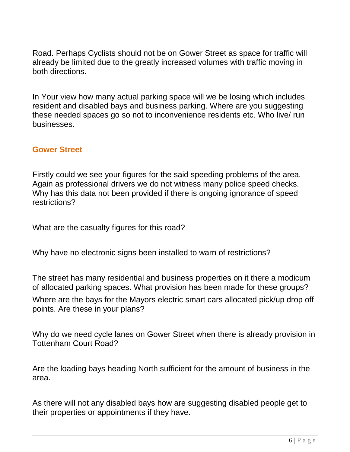Road. Perhaps Cyclists should not be on Gower Street as space for traffic will already be limited due to the greatly increased volumes with traffic moving in both directions.

In Your view how many actual parking space will we be losing which includes resident and disabled bays and business parking. Where are you suggesting these needed spaces go so not to inconvenience residents etc. Who live/ run businesses.

#### **Gower Street**

Firstly could we see your figures for the said speeding problems of the area. Again as professional drivers we do not witness many police speed checks. Why has this data not been provided if there is ongoing ignorance of speed restrictions?

What are the casualty figures for this road?

Why have no electronic signs been installed to warn of restrictions?

The street has many residential and business properties on it there a modicum of allocated parking spaces. What provision has been made for these groups?

Where are the bays for the Mayors electric smart cars allocated pick/up drop off points. Are these in your plans?

Why do we need cycle lanes on Gower Street when there is already provision in Tottenham Court Road?

Are the loading bays heading North sufficient for the amount of business in the area.

As there will not any disabled bays how are suggesting disabled people get to their properties or appointments if they have.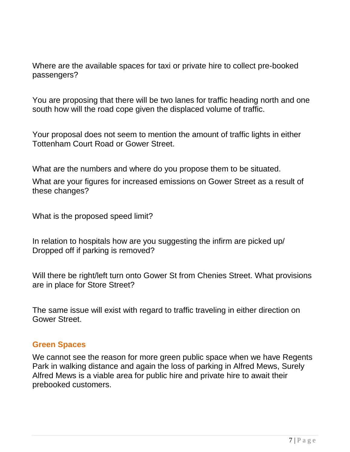Where are the available spaces for taxi or private hire to collect pre-booked passengers?

You are proposing that there will be two lanes for traffic heading north and one south how will the road cope given the displaced volume of traffic.

Your proposal does not seem to mention the amount of traffic lights in either Tottenham Court Road or Gower Street.

What are the numbers and where do you propose them to be situated.

What are your figures for increased emissions on Gower Street as a result of these changes?

What is the proposed speed limit?

In relation to hospitals how are you suggesting the infirm are picked up/ Dropped off if parking is removed?

Will there be right/left turn onto Gower St from Chenies Street. What provisions are in place for Store Street?

The same issue will exist with regard to traffic traveling in either direction on Gower Street.

#### **Green Spaces**

We cannot see the reason for more green public space when we have Regents Park in walking distance and again the loss of parking in Alfred Mews, Surely Alfred Mews is a viable area for public hire and private hire to await their prebooked customers.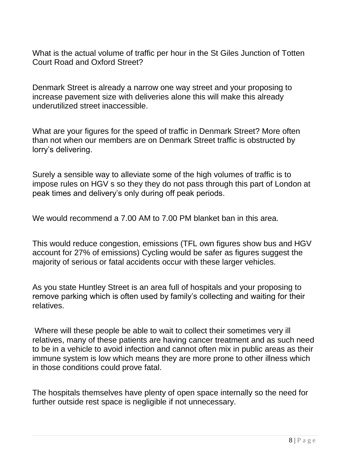What is the actual volume of traffic per hour in the St Giles Junction of Totten Court Road and Oxford Street?

Denmark Street is already a narrow one way street and your proposing to increase pavement size with deliveries alone this will make this already underutilized street inaccessible.

What are your figures for the speed of traffic in Denmark Street? More often than not when our members are on Denmark Street traffic is obstructed by lorry's delivering.

Surely a sensible way to alleviate some of the high volumes of traffic is to impose rules on HGV s so they they do not pass through this part of London at peak times and delivery's only during off peak periods.

We would recommend a 7.00 AM to 7.00 PM blanket ban in this area.

This would reduce congestion, emissions (TFL own figures show bus and HGV account for 27% of emissions) Cycling would be safer as figures suggest the majority of serious or fatal accidents occur with these larger vehicles.

As you state Huntley Street is an area full of hospitals and your proposing to remove parking which is often used by family's collecting and waiting for their relatives.

Where will these people be able to wait to collect their sometimes very ill relatives, many of these patients are having cancer treatment and as such need to be in a vehicle to avoid infection and cannot often mix in public areas as their immune system is low which means they are more prone to other illness which in those conditions could prove fatal.

The hospitals themselves have plenty of open space internally so the need for further outside rest space is negligible if not unnecessary.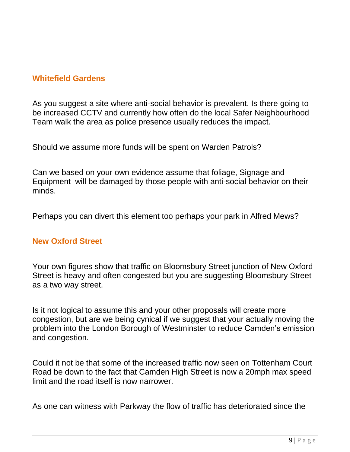## **Whitefield Gardens**

As you suggest a site where anti-social behavior is prevalent. Is there going to be increased CCTV and currently how often do the local Safer Neighbourhood Team walk the area as police presence usually reduces the impact.

Should we assume more funds will be spent on Warden Patrols?

Can we based on your own evidence assume that foliage, Signage and Equipment will be damaged by those people with anti-social behavior on their minds.

Perhaps you can divert this element too perhaps your park in Alfred Mews?

### **New Oxford Street**

Your own figures show that traffic on Bloomsbury Street junction of New Oxford Street is heavy and often congested but you are suggesting Bloomsbury Street as a two way street.

Is it not logical to assume this and your other proposals will create more congestion, but are we being cynical if we suggest that your actually moving the problem into the London Borough of Westminster to reduce Camden's emission and congestion.

Could it not be that some of the increased traffic now seen on Tottenham Court Road be down to the fact that Camden High Street is now a 20mph max speed limit and the road itself is now narrower.

As one can witness with Parkway the flow of traffic has deteriorated since the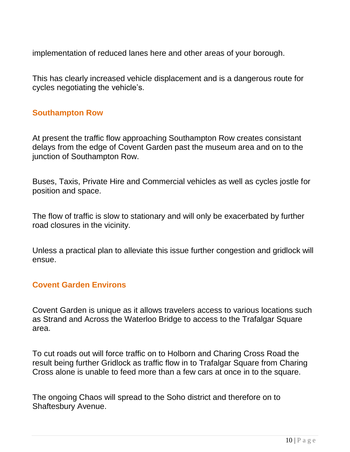implementation of reduced lanes here and other areas of your borough.

This has clearly increased vehicle displacement and is a dangerous route for cycles negotiating the vehicle's.

### **Southampton Row**

At present the traffic flow approaching Southampton Row creates consistant delays from the edge of Covent Garden past the museum area and on to the junction of Southampton Row.

Buses, Taxis, Private Hire and Commercial vehicles as well as cycles jostle for position and space.

The flow of traffic is slow to stationary and will only be exacerbated by further road closures in the vicinity.

Unless a practical plan to alleviate this issue further congestion and gridlock will ensue.

### **Covent Garden Environs**

Covent Garden is unique as it allows travelers access to various locations such as Strand and Across the Waterloo Bridge to access to the Trafalgar Square area.

To cut roads out will force traffic on to Holborn and Charing Cross Road the result being further Gridlock as traffic flow in to Trafalgar Square from Charing Cross alone is unable to feed more than a few cars at once in to the square.

The ongoing Chaos will spread to the Soho district and therefore on to Shaftesbury Avenue.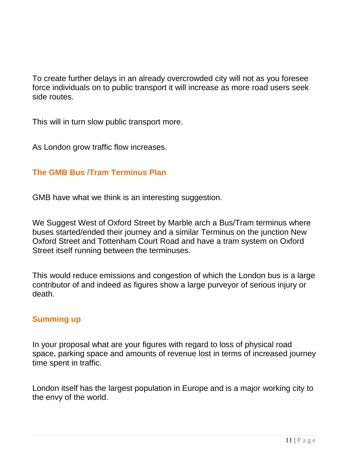To create further delays in an already overcrowded city will not as you foresee force individuals on to public transport it will increase as more road users seek side routes.

This will in turn slow public transport more.

As London grow traffic flow increases.

## **The GMB Bus /Tram Terminus Plan**

GMB have what we think is an interesting suggestion.

We Suggest West of Oxford Street by Marble arch a Bus/Tram terminus where buses started/ended their journey and a similar Terminus on the junction New Oxford Street and Tottenham Court Road and have a tram system on Oxford Street itself running between the terminuses.

This would reduce emissions and congestion of which the London bus is a large contributor of and indeed as figures show a large purveyor of serious injury or death.

### **Summing up**

In your proposal what are your figures with regard to loss of physical road space, parking space and amounts of revenue lost in terms of increased journey time spent in traffic.

London itself has the largest population in Europe and is a major working city to the envy of the world.